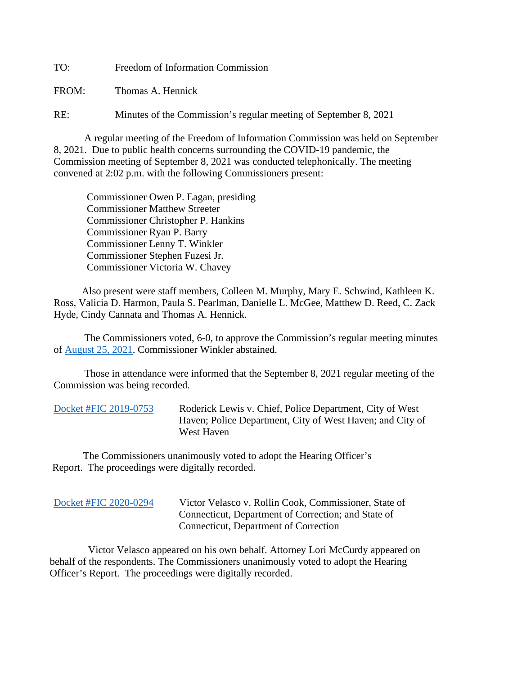TO: Freedom of Information Commission

FROM: Thomas A. Hennick

RE: Minutes of the Commission's regular meeting of September 8, 2021

A regular meeting of the Freedom of Information Commission was held on September 8, 2021. Due to public health concerns surrounding the COVID-19 pandemic, the Commission meeting of September 8, 2021 was conducted telephonically. The meeting convened at 2:02 p.m. with the following Commissioners present:

 Commissioner Owen P. Eagan, presiding Commissioner Matthew Streeter Commissioner Christopher P. Hankins Commissioner Ryan P. Barry Commissioner Lenny T. Winkler Commissioner Stephen Fuzesi Jr. Commissioner Victoria W. Chavey

 Also present were staff members, Colleen M. Murphy, Mary E. Schwind, Kathleen K. Ross, Valicia D. Harmon, Paula S. Pearlman, Danielle L. McGee, Matthew D. Reed, C. Zack Hyde, Cindy Cannata and Thomas A. Hennick.

The Commissioners voted, 6-0, to approve the Commission's regular meeting minutes of [August 25, 2021.](https://portal.ct.gov/-/media/FOI/Minutes/2021/Minutes-8-25-2021b.pdf) Commissioner Winkler abstained.

 Those in attendance were informed that the September 8, 2021 regular meeting of the Commission was being recorded.

| Docket #FIC 2019-0753 |  |  |
|-----------------------|--|--|
|                       |  |  |

Roderick Lewis v. Chief, Police Department, City of West Haven; Police Department, City of West Haven; and City of West Haven

 The Commissioners unanimously voted to adopt the Hearing Officer's Report. The proceedings were digitally recorded.

 Victor Velasco appeared on his own behalf. Attorney Lori McCurdy appeared on behalf of the respondents. The Commissioners unanimously voted to adopt the Hearing Officer's Report. The proceedings were digitally recorded.